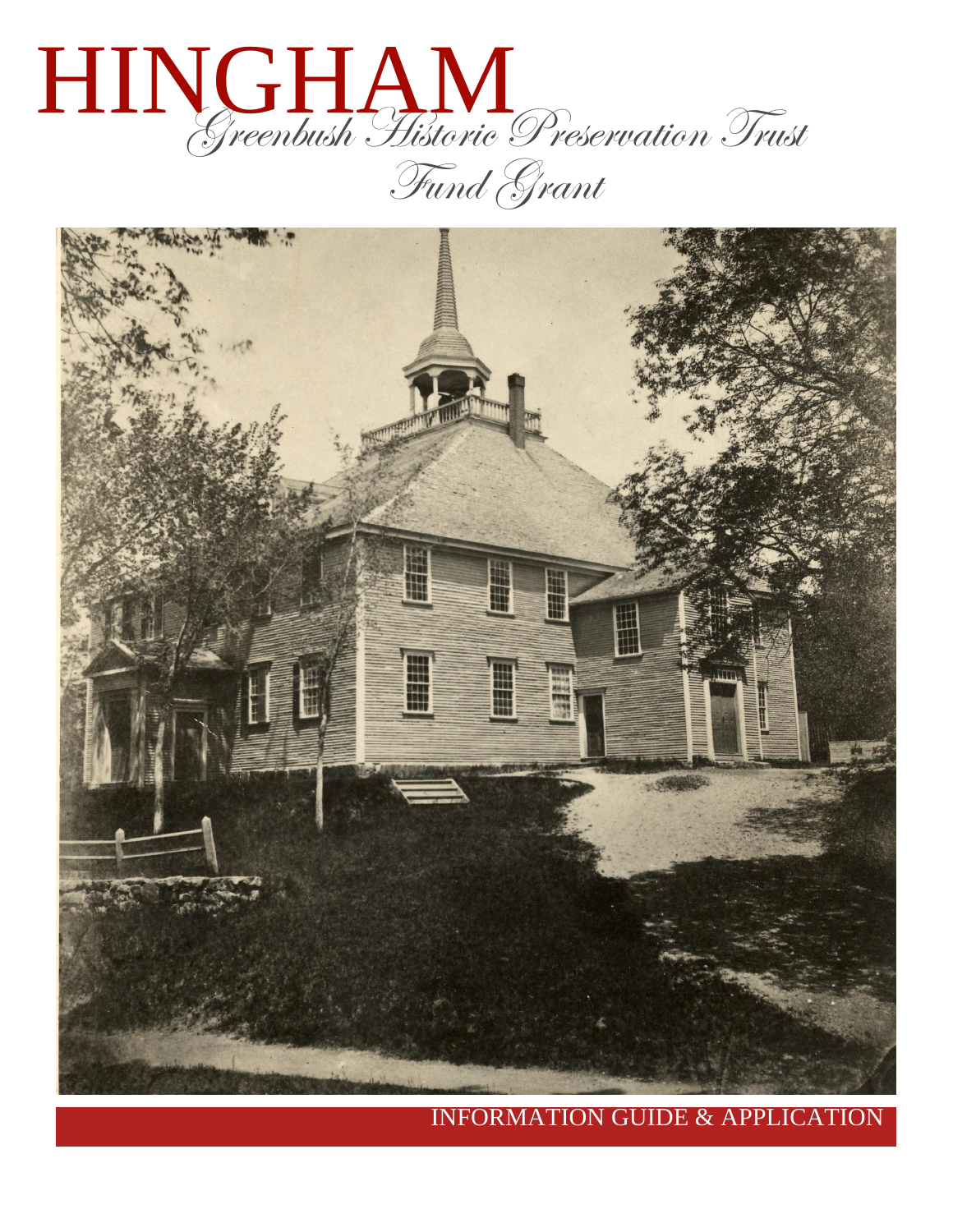



INFORMATION GUIDE & APPLICATION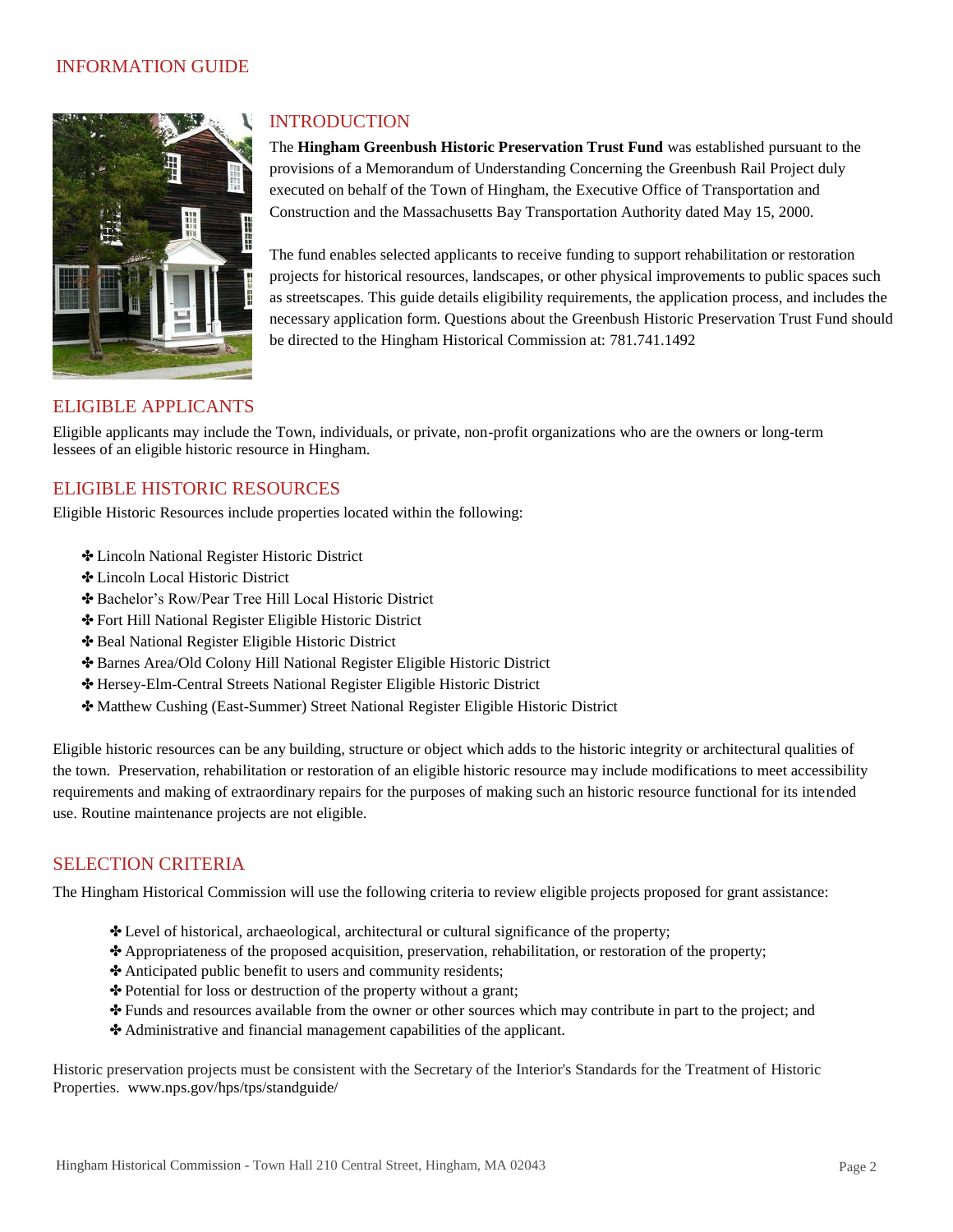#### INFORMATION GUIDE



#### INTRODUCTION

The **Hingham Greenbush Historic Preservation Trust Fund** was established pursuant to the provisions of a Memorandum of Understanding Concerning the Greenbush Rail Project duly executed on behalf of the Town of Hingham, the Executive Office of Transportation and Construction and the Massachusetts Bay Transportation Authority dated May 15, 2000.

The fund enables selected applicants to receive funding to support rehabilitation or restoration projects for historical resources, landscapes, or other physical improvements to public spaces such as streetscapes. This guide details eligibility requirements, the application process, and includes the necessary application form. Questions about the Greenbush Historic Preservation Trust Fund should be directed to the Hingham Historical Commission at: 781.741.1492

# ELIGIBLE APPLICANTS

Eligible applicants may include the Town, individuals, or private, non-profit organizations who are the owners or long-term lessees of an eligible historic resource in Hingham.

#### ELIGIBLE HISTORIC RESOURCES

Eligible Historic Resources include properties located within the following:

- ✤ Lincoln National Register Historic District
- ✤ Lincoln Local Historic District
- ✤ Bachelor's Row/Pear Tree Hill Local Historic District
- ✤ Fort Hill National Register Eligible Historic District
- ✤ Beal National Register Eligible Historic District
- ✤ Barnes Area/Old Colony Hill National Register Eligible Historic District
- ✤ Hersey-Elm-Central Streets National Register Eligible Historic District
- ✤ Matthew Cushing (East-Summer) Street National Register Eligible Historic District

Eligible historic resources can be any building, structure or object which adds to the historic integrity or architectural qualities of the town. Preservation, rehabilitation or restoration of an eligible historic resource may include modifications to meet accessibility requirements and making of extraordinary repairs for the purposes of making such an historic resource functional for its intended use. Routine maintenance projects are not eligible.

#### SELECTION CRITERIA

The Hingham Historical Commission will use the following criteria to review eligible projects proposed for grant assistance:

- ✤ Level of historical, archaeological, architectural or cultural significance of the property;
- ✤ Appropriateness of the proposed acquisition, preservation, rehabilitation, or restoration of the property;
- ✤ Anticipated public benefit to users and community residents;
- ✤ Potential for loss or destruction of the property without a grant;
- ✤ Funds and resources available from the owner or other sources which may contribute in part to the project; and
- ✤ Administrative and financial management capabilities of the applicant.

Historic preservation projects must be consistent with the Secretary of the Interior's Standards for the Treatment of Historic Properties. [www.nps.gov/hps/tps/standguide/](http://www.nps.gov/hps/tps/standguide/)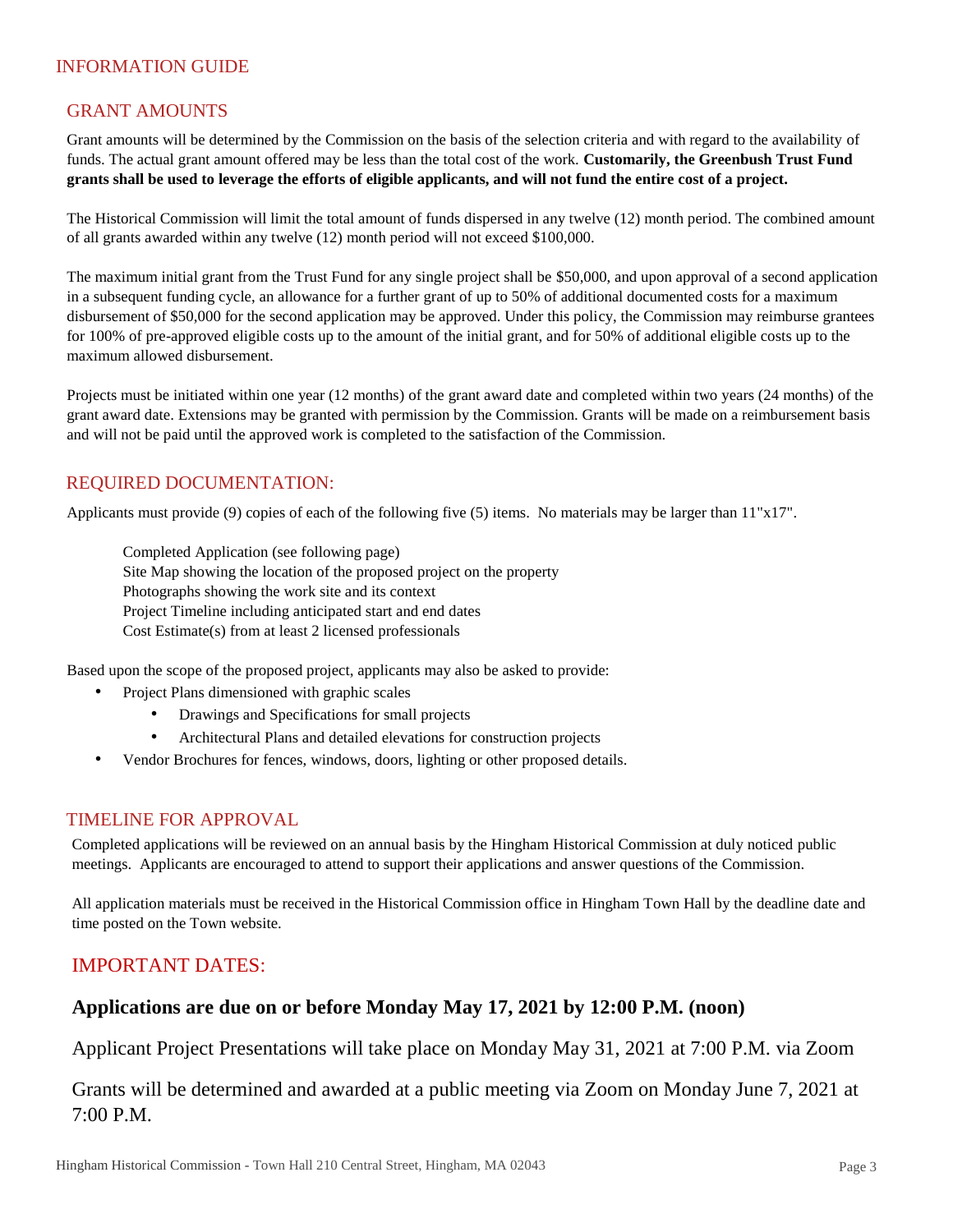# INFORMATION GUIDE

# GRANT AMOUNTS

Grant amounts will be determined by the Commission on the basis of the selection criteria and with regard to the availability of funds. The actual grant amount offered may be less than the total cost of the work. **Customarily, the Greenbush Trust Fund grants shall be used to leverage the efforts of eligible applicants, and will not fund the entire cost of a project.** 

The Historical Commission will limit the total amount of funds dispersed in any twelve (12) month period. The combined amount of all grants awarded within any twelve (12) month period will not exceed \$100,000.

The maximum initial grant from the Trust Fund for any single project shall be \$50,000, and upon approval of a second application in a subsequent funding cycle, an allowance for a further grant of up to 50% of additional documented costs for a maximum disbursement of \$50,000 for the second application may be approved. Under this policy, the Commission may reimburse grantees for 100% of pre-approved eligible costs up to the amount of the initial grant, and for 50% of additional eligible costs up to the maximum allowed disbursement.

Projects must be initiated within one year (12 months) of the grant award date and completed within two years (24 months) of the grant award date. Extensions may be granted with permission by the Commission. Grants will be made on a reimbursement basis and will not be paid until the approved work is completed to the satisfaction of the Commission.

# REQUIRED DOCUMENTATION:

Applicants must provide (9) copies of each of the following five (5) items. No materials may be larger than 11"x17".

Completed Application (see following page) Site Map showing the location of the proposed project on the property Photographs showing the work site and its context Project Timeline including anticipated start and end dates Cost Estimate(s) from at least 2 licensed professionals

Based upon the scope of the proposed project, applicants may also be asked to provide:

- Project Plans dimensioned with graphic scales
	- Drawings and Specifications for small projects
	- Architectural Plans and detailed elevations for construction projects
	- Vendor Brochures for fences, windows, doors, lighting or other proposed details.

#### TIMELINE FOR APPROVAL

Completed applications will be reviewed on an annual basis by the Hingham Historical Commission at duly noticed public meetings. Applicants are encouraged to attend to support their applications and answer questions of the Commission.

All application materials must be received in the Historical Commission office in Hingham Town Hall by the deadline date and time posted on the Town website.

# IMPORTANT DATES:

# **Applications are due on or before Monday May 17, 2021 by 12:00 P.M. (noon)**

Applicant Project Presentations will take place on Monday May 31, 2021 at 7:00 P.M. via Zoom

Grants will be determined and awarded at a public meeting via Zoom on Monday June 7, 2021 at 7:00 P.M.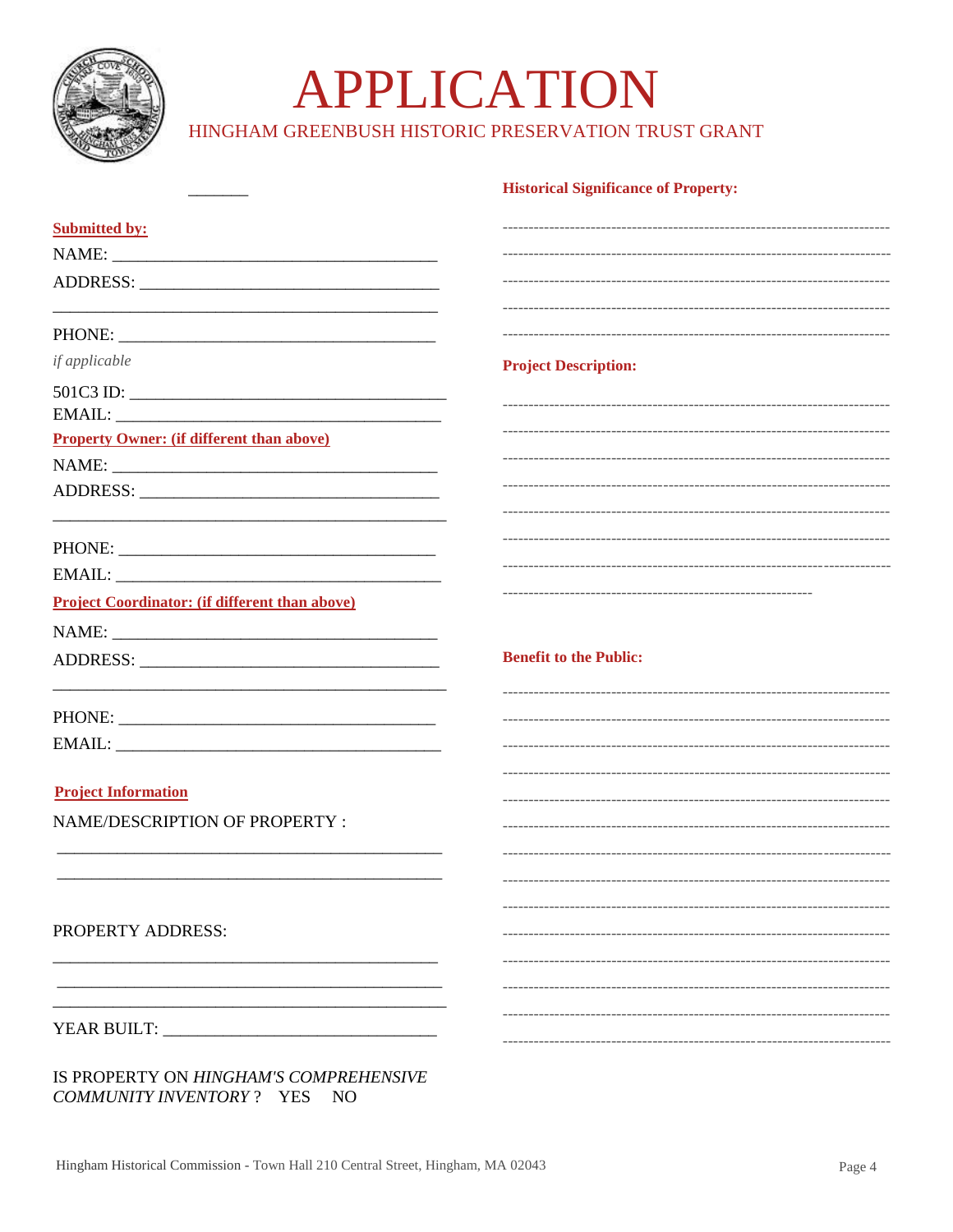

# APPLICATION

HINGHAM GREENBUSH HISTORIC PRESERVATION TRUST GRANT

|                                                       | <b>Historical Significance of Property:</b> |
|-------------------------------------------------------|---------------------------------------------|
| <b>Submitted by:</b>                                  |                                             |
|                                                       |                                             |
|                                                       |                                             |
|                                                       |                                             |
| if applicable                                         | <b>Project Description:</b>                 |
| $501C3$ ID:                                           |                                             |
|                                                       |                                             |
| <b>Property Owner: (if different than above)</b>      |                                             |
|                                                       |                                             |
|                                                       |                                             |
|                                                       |                                             |
|                                                       |                                             |
|                                                       |                                             |
| <b>Project Coordinator: (if different than above)</b> |                                             |
|                                                       |                                             |
|                                                       | <b>Benefit to the Public:</b>               |
|                                                       |                                             |
|                                                       |                                             |
|                                                       |                                             |
| <b>Project Information</b>                            |                                             |
| NAME/DESCRIPTION OF PROPERTY :                        |                                             |
|                                                       |                                             |
|                                                       |                                             |
|                                                       |                                             |
| PROPERTY ADDRESS:                                     |                                             |
|                                                       |                                             |
|                                                       |                                             |
|                                                       |                                             |
|                                                       |                                             |
|                                                       |                                             |

IS PROPERTY ON HINGHAM'S COMPREHENSIVE COMMUNITY INVENTORY? YES NO